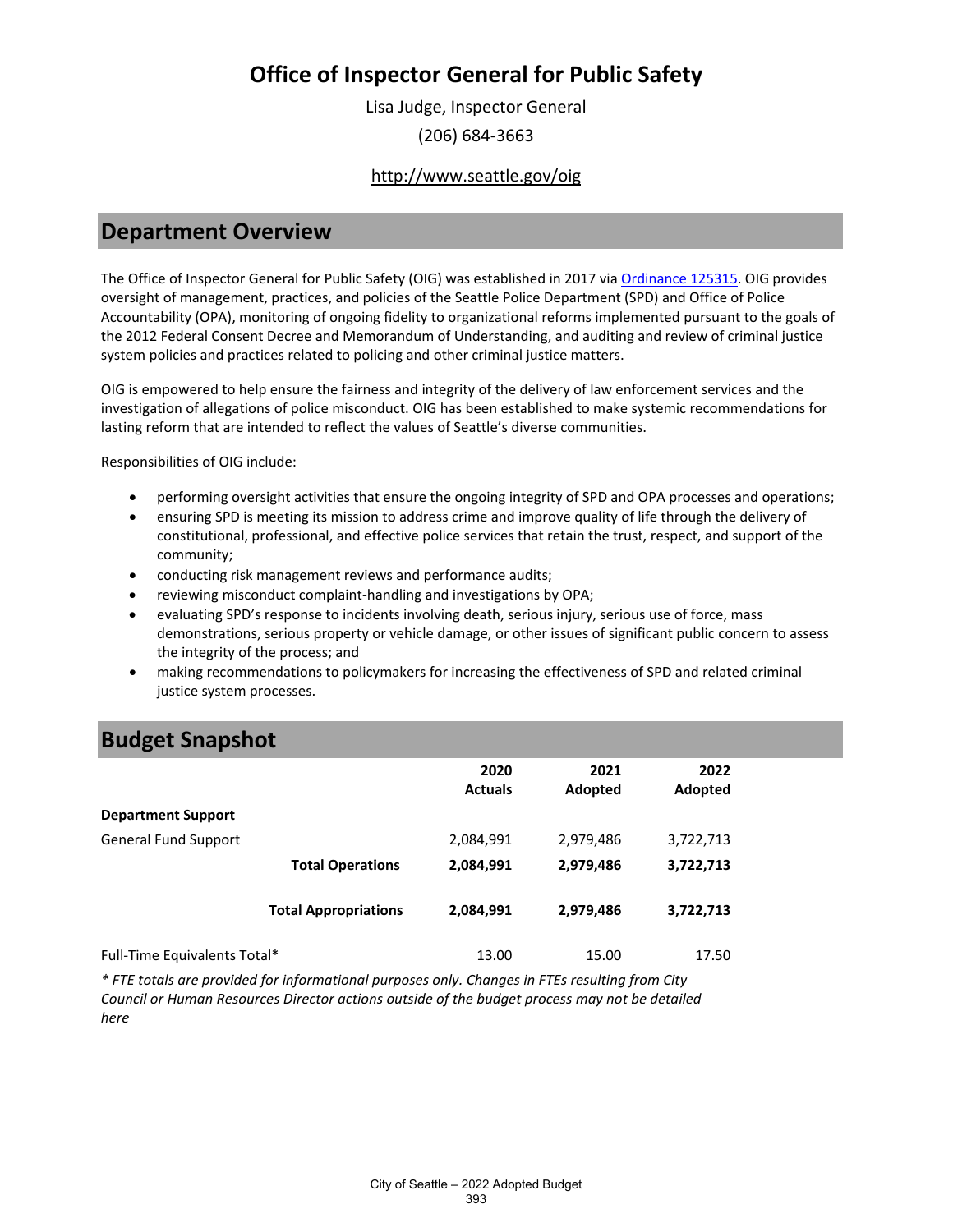Lisa Judge, Inspector General (206) 684-3663

#### <http://www.seattle.gov/oig>

#### **Department Overview**

The Office of Inspector General for Public Safety (OIG) was established in 2017 via [Ordinance 125315.](https://hostedus8.questica.com/ReportServer?%2FQuestica%2FSeattleProd%2FID) OIG provides oversight of management, practices, and policies of the Seattle Police Department (SPD) and Office of Police Accountability (OPA), monitoring of ongoing fidelity to organizational reforms implemented pursuant to the goals of the 2012 Federal Consent Decree and Memorandum of Understanding, and auditing and review of criminal justice system policies and practices related to policing and other criminal justice matters.

OIG is empowered to help ensure the fairness and integrity of the delivery of law enforcement services and the investigation of allegations of police misconduct. OIG has been established to make systemic recommendations for lasting reform that are intended to reflect the values of Seattle's diverse communities.

Responsibilities of OIG include:

- performing oversight activities that ensure the ongoing integrity of SPD and OPA processes and operations;
- ensuring SPD is meeting its mission to address crime and improve quality of life through the delivery of constitutional, professional, and effective police services that retain the trust, respect, and support of the community;
- conducting risk management reviews and performance audits;
- reviewing misconduct complaint-handling and investigations by OPA;
- evaluating SPD's response to incidents involving death, serious injury, serious use of force, mass demonstrations, serious property or vehicle damage, or other issues of significant public concern to assess the integrity of the process; and
- making recommendations to policymakers for increasing the effectiveness of SPD and related criminal justice system processes.

### **Budget Snapshot**

|                              |                             | 2020<br><b>Actuals</b> | 2021<br>Adopted | 2022<br>Adopted |
|------------------------------|-----------------------------|------------------------|-----------------|-----------------|
| <b>Department Support</b>    |                             |                        |                 |                 |
| <b>General Fund Support</b>  |                             | 2,084,991              | 2,979,486       | 3,722,713       |
|                              | <b>Total Operations</b>     | 2,084,991              | 2,979,486       | 3,722,713       |
|                              | <b>Total Appropriations</b> | 2,084,991              | 2,979,486       | 3,722,713       |
| Full-Time Equivalents Total* |                             | 13.00                  | 15.00           | 17.50           |

*\* FTE totals are provided for informational purposes only. Changes in FTEs resulting from City Council or Human Resources Director actions outside of the budget process may not be detailed here*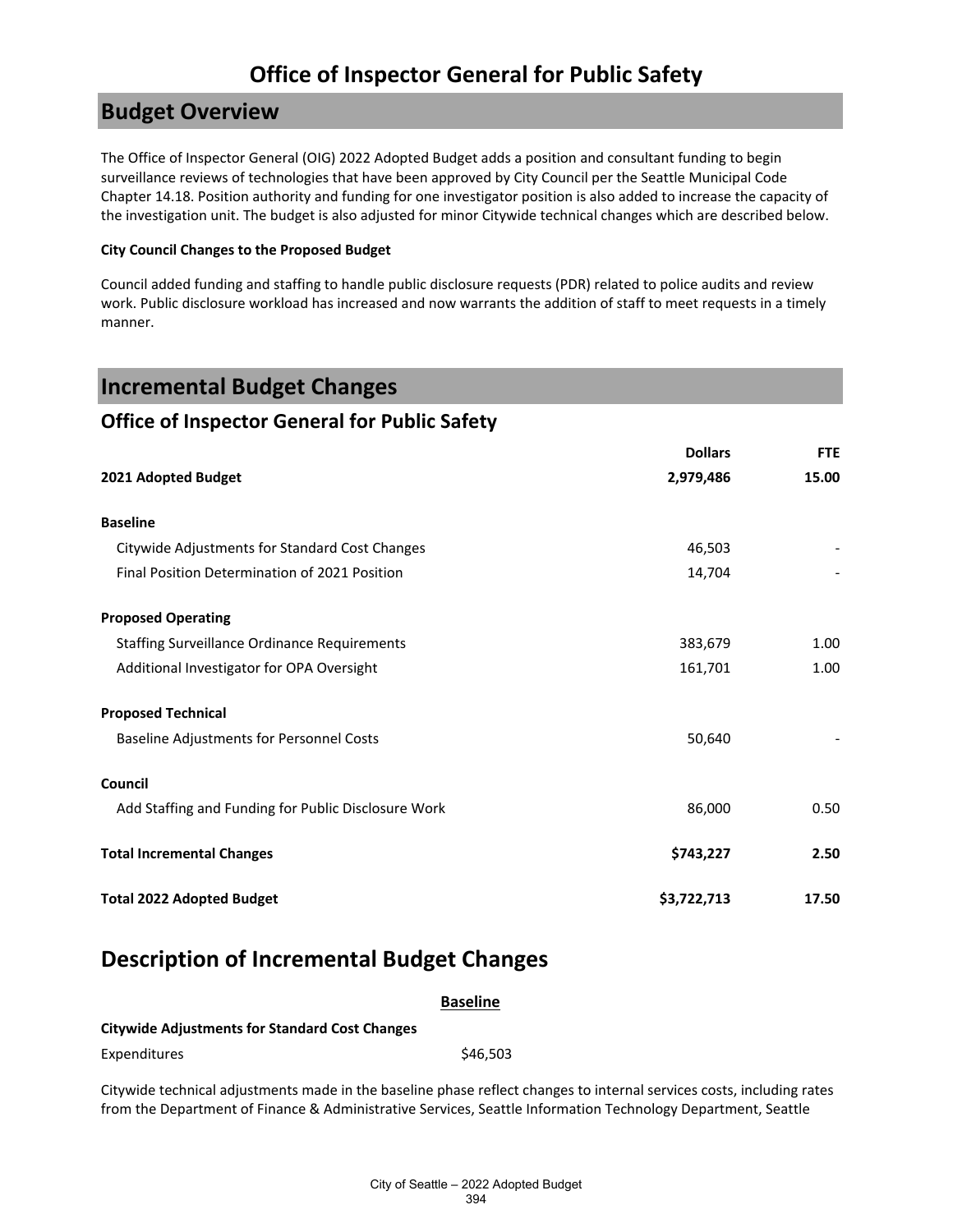### **Budget Overview**

The Office of Inspector General (OIG) 2022 Adopted Budget adds a position and consultant funding to begin surveillance reviews of technologies that have been approved by City Council per the Seattle Municipal Code Chapter 14.18. Position authority and funding for one investigator position is also added to increase the capacity of the investigation unit. The budget is also adjusted for minor Citywide technical changes which are described below.

#### **City Council Changes to the Proposed Budget**

Council added funding and staffing to handle public disclosure requests (PDR) related to police audits and review work. Public disclosure workload has increased and now warrants the addition of staff to meet requests in a timely manner.

| <b>Incremental Budget Changes</b>                    |                |            |
|------------------------------------------------------|----------------|------------|
| <b>Office of Inspector General for Public Safety</b> |                |            |
|                                                      | <b>Dollars</b> | <b>FTE</b> |
| 2021 Adopted Budget                                  | 2,979,486      | 15.00      |
| <b>Baseline</b>                                      |                |            |
| Citywide Adjustments for Standard Cost Changes       | 46,503         |            |
| Final Position Determination of 2021 Position        | 14,704         |            |
| <b>Proposed Operating</b>                            |                |            |
| <b>Staffing Surveillance Ordinance Requirements</b>  | 383,679        | 1.00       |
| Additional Investigator for OPA Oversight            | 161,701        | 1.00       |
| <b>Proposed Technical</b>                            |                |            |
| <b>Baseline Adjustments for Personnel Costs</b>      | 50,640         |            |
| Council                                              |                |            |
| Add Staffing and Funding for Public Disclosure Work  | 86,000         | 0.50       |
| <b>Total Incremental Changes</b>                     | \$743,227      | 2.50       |
| <b>Total 2022 Adopted Budget</b>                     | \$3,722,713    | 17.50      |

#### **Description of Incremental Budget Changes**

|                                                                                                                                                                                                                                       | <b>Baseline</b> |  |
|---------------------------------------------------------------------------------------------------------------------------------------------------------------------------------------------------------------------------------------|-----------------|--|
| <b>Citywide Adjustments for Standard Cost Changes</b>                                                                                                                                                                                 |                 |  |
| Expenditures                                                                                                                                                                                                                          | \$46,503        |  |
| Citywide technical adjustments made in the baseline phase reflect changes to internal services costs, including rates<br>from the Department of Finance & Administrative Services, Seattle Information Technology Department, Seattle |                 |  |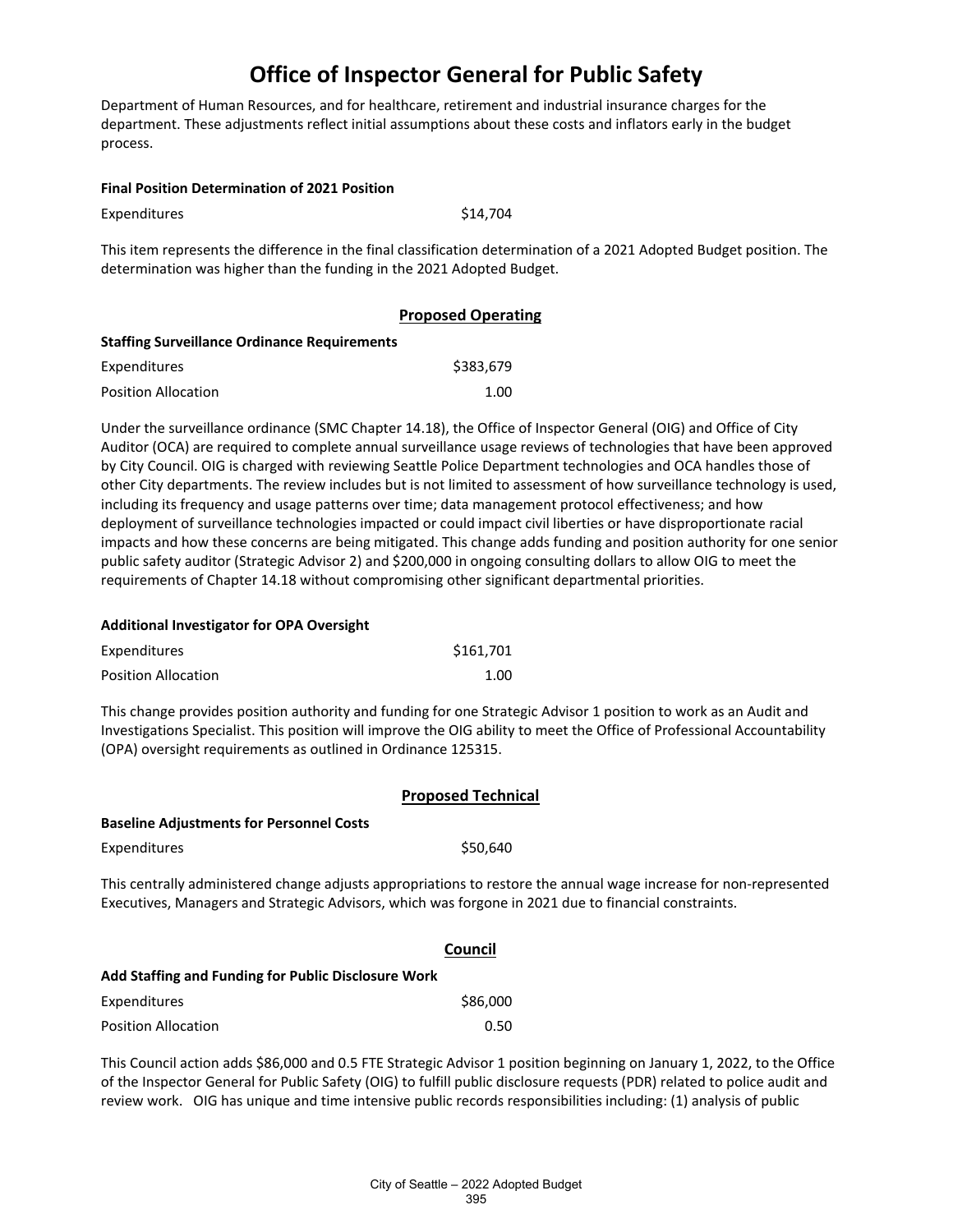Department of Human Resources, and for healthcare, retirement and industrial insurance charges for the department. These adjustments reflect initial assumptions about these costs and inflators early in the budget process.

|  |  | <b>Final Position Determination of 2021 Position</b> |
|--|--|------------------------------------------------------|
|--|--|------------------------------------------------------|

| Expenditures | \$14,704 |
|--------------|----------|
|--------------|----------|

This item represents the difference in the final classification determination of a 2021 Adopted Budget position. The determination was higher than the funding in the 2021 Adopted Budget.

|                                                     | <b>Proposed Operating</b> |  |  |
|-----------------------------------------------------|---------------------------|--|--|
| <b>Staffing Surveillance Ordinance Requirements</b> |                           |  |  |
| Expenditures                                        | \$383.679                 |  |  |
| <b>Position Allocation</b>                          | 1.00                      |  |  |

Under the surveillance ordinance (SMC Chapter 14.18), the Office of Inspector General (OIG) and Office of City Auditor (OCA) are required to complete annual surveillance usage reviews of technologies that have been approved by City Council. OIG is charged with reviewing Seattle Police Department technologies and OCA handles those of other City departments. The review includes but is not limited to assessment of how surveillance technology is used, including its frequency and usage patterns over time; data management protocol effectiveness; and how deployment of surveillance technologies impacted or could impact civil liberties or have disproportionate racial impacts and how these concerns are being mitigated. This change adds funding and position authority for one senior public safety auditor (Strategic Advisor 2) and \$200,000 in ongoing consulting dollars to allow OIG to meet the requirements of Chapter 14.18 without compromising other significant departmental priorities.

| Additional Investigator for OPA Oversight |  |
|-------------------------------------------|--|
|-------------------------------------------|--|

| Expenditures               | \$161,701 |
|----------------------------|-----------|
| <b>Position Allocation</b> | 1.00      |

This change provides position authority and funding for one Strategic Advisor 1 position to work as an Audit and Investigations Specialist. This position will improve the OIG ability to meet the Office of Professional Accountability (OPA) oversight requirements as outlined in Ordinance 125315.

|                                                                                                                                                                                                                           | <b>Proposed Technical</b> |  |
|---------------------------------------------------------------------------------------------------------------------------------------------------------------------------------------------------------------------------|---------------------------|--|
| <b>Baseline Adjustments for Personnel Costs</b>                                                                                                                                                                           |                           |  |
| Expenditures                                                                                                                                                                                                              | \$50,640                  |  |
| This centrally administered change adjusts appropriations to restore the annual wage increase for non-represented<br>Executives, Managers and Strategic Advisors, which was forgone in 2021 due to financial constraints. |                           |  |
|                                                                                                                                                                                                                           | Council                   |  |
| Add Staffing and Funding for Public Disclosure Work                                                                                                                                                                       |                           |  |
| Expenditures                                                                                                                                                                                                              | \$86,000                  |  |
| <b>Position Allocation</b>                                                                                                                                                                                                | 0.50                      |  |

This Council action adds \$86,000 and 0.5 FTE Strategic Advisor 1 position beginning on January 1, 2022, to the Office of the Inspector General for Public Safety (OIG) to fulfill public disclosure requests (PDR) related to police audit and review work. OIG has unique and time intensive public records responsibilities including: (1) analysis of public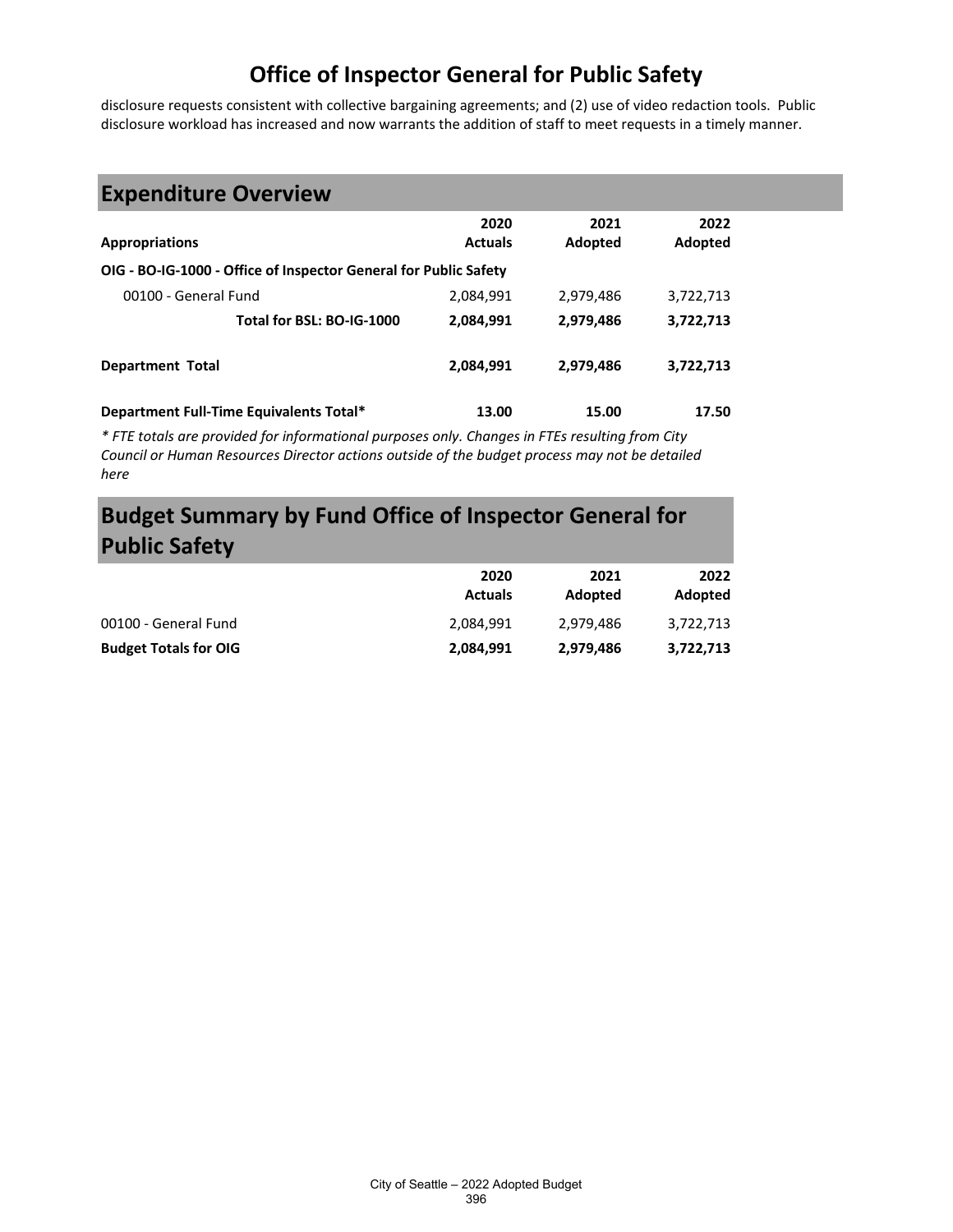disclosure requests consistent with collective bargaining agreements; and (2) use of video redaction tools. Public disclosure workload has increased and now warrants the addition of staff to meet requests in a timely manner.

# **Expenditure Overview**

| <b>Appropriations</b>                                            | 2020<br><b>Actuals</b> | 2021<br>Adopted | 2022<br>Adopted |
|------------------------------------------------------------------|------------------------|-----------------|-----------------|
| OIG - BO-IG-1000 - Office of Inspector General for Public Safety |                        |                 |                 |
| 00100 - General Fund                                             | 2,084,991              | 2,979,486       | 3,722,713       |
| Total for BSL: BO-IG-1000                                        | 2,084,991              | 2,979,486       | 3,722,713       |
| <b>Department Total</b>                                          | 2,084,991              | 2,979,486       | 3,722,713       |
| Department Full-Time Equivalents Total*                          | 13.00                  | 15.00           | 17.50           |

*\* FTE totals are provided for informational purposes only. Changes in FTEs resulting from City Council or Human Resources Director actions outside of the budget process may not be detailed here*

## **Budget Summary by Fund Office of Inspector General for Public Safety**

|                              | 2020<br><b>Actuals</b> | 2021<br>Adopted | 2022<br>Adopted |
|------------------------------|------------------------|-----------------|-----------------|
| 00100 - General Fund         | 2.084.991              | 2.979.486       | 3.722.713       |
| <b>Budget Totals for OIG</b> | 2,084,991              | 2,979,486       | 3,722,713       |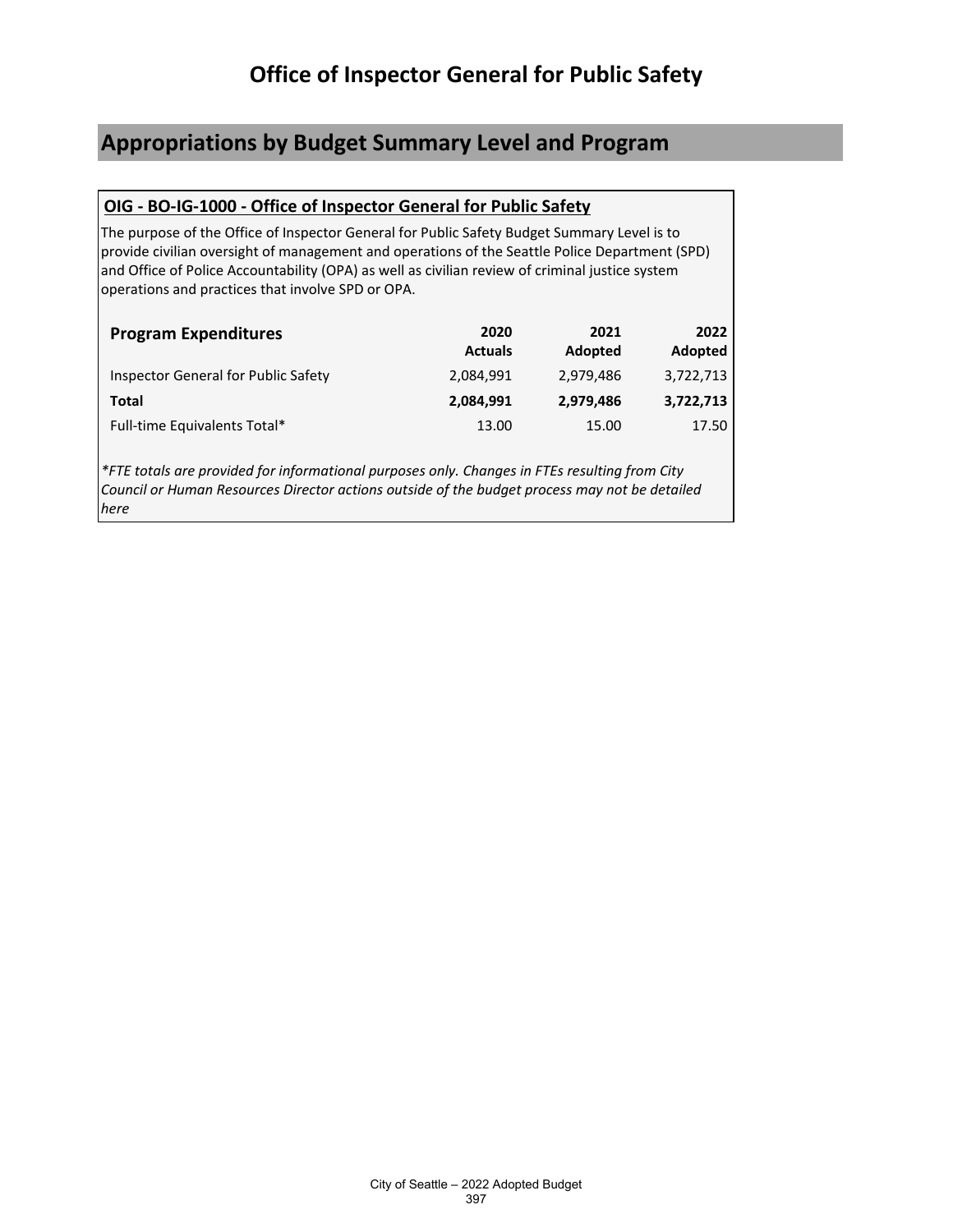### **Appropriations by Budget Summary Level and Program**

#### **OIG - BO-IG-1000 - Office of Inspector General for Public Safety**

The purpose of the Office of Inspector General for Public Safety Budget Summary Level is to provide civilian oversight of management and operations of the Seattle Police Department (SPD) and Office of Police Accountability (OPA) as well as civilian review of criminal justice system operations and practices that involve SPD or OPA.

| <b>Program Expenditures</b>         | 2020<br><b>Actuals</b> | 2021<br>Adopted | 2022<br>Adopted |
|-------------------------------------|------------------------|-----------------|-----------------|
| Inspector General for Public Safety | 2,084,991              | 2,979,486       | 3,722,713       |
| Total                               | 2,084,991              | 2,979,486       | 3,722,713       |
| Full-time Equivalents Total*        | 13.00                  | 15.00           | 17.50           |

*\*FTE totals are provided for informational purposes only. Changes in FTEs resulting from City Council or Human Resources Director actions outside of the budget process may not be detailed here*